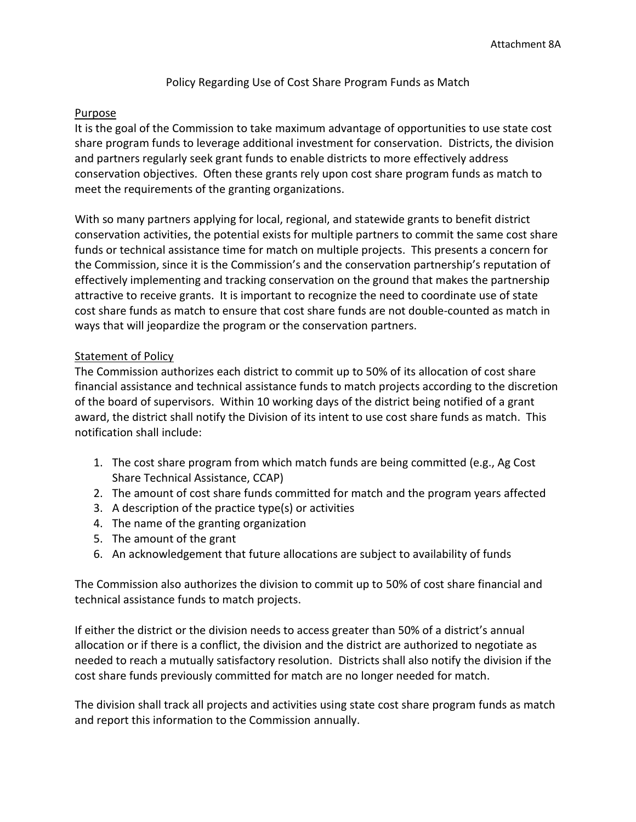Policy Regarding Use of Cost Share Program Funds as Match

## Purpose

It is the goal of the Commission to take maximum advantage of opportunities to use state cost share program funds to leverage additional investment for conservation. Districts, the division and partners regularly seek grant funds to enable districts to more effectively address conservation objectives. Often these grants rely upon cost share program funds as match to meet the requirements of the granting organizations.

With so many partners applying for local, regional, and statewide grants to benefit district conservation activities, the potential exists for multiple partners to commit the same cost share funds or technical assistance time for match on multiple projects. This presents a concern for the Commission, since it is the Commission's and the conservation partnership's reputation of effectively implementing and tracking conservation on the ground that makes the partnership attractive to receive grants. It is important to recognize the need to coordinate use of state cost share funds as match to ensure that cost share funds are not double-counted as match in ways that will jeopardize the program or the conservation partners.

## Statement of Policy

The Commission authorizes each district to commit up to 50% of its allocation of cost share financial assistance and technical assistance funds to match projects according to the discretion of the board of supervisors. Within 10 working days of the district being notified of a grant award, the district shall notify the Division of its intent to use cost share funds as match. This notification shall include:

- 1. The cost share program from which match funds are being committed (e.g., Ag Cost Share Technical Assistance, CCAP)
- 2. The amount of cost share funds committed for match and the program years affected
- 3. A description of the practice type(s) or activities
- 4. The name of the granting organization
- 5. The amount of the grant
- 6. An acknowledgement that future allocations are subject to availability of funds

The Commission also authorizes the division to commit up to 50% of cost share financial and technical assistance funds to match projects.

If either the district or the division needs to access greater than 50% of a district's annual allocation or if there is a conflict, the division and the district are authorized to negotiate as needed to reach a mutually satisfactory resolution. Districts shall also notify the division if the cost share funds previously committed for match are no longer needed for match.

The division shall track all projects and activities using state cost share program funds as match and report this information to the Commission annually.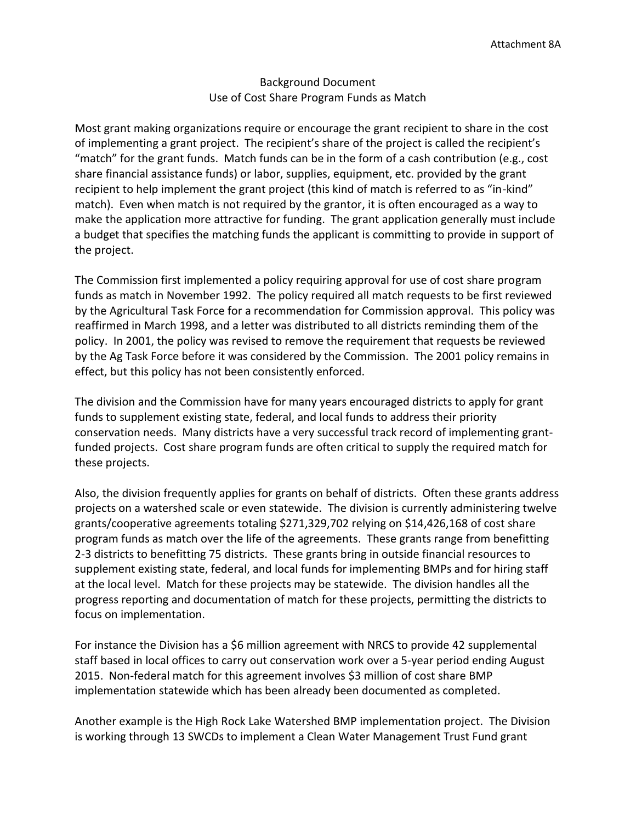## Background Document Use of Cost Share Program Funds as Match

Most grant making organizations require or encourage the grant recipient to share in the cost of implementing a grant project. The recipient's share of the project is called the recipient's "match" for the grant funds. Match funds can be in the form of a cash contribution (e.g., cost share financial assistance funds) or labor, supplies, equipment, etc. provided by the grant recipient to help implement the grant project (this kind of match is referred to as "in-kind" match). Even when match is not required by the grantor, it is often encouraged as a way to make the application more attractive for funding. The grant application generally must include a budget that specifies the matching funds the applicant is committing to provide in support of the project.

The Commission first implemented a policy requiring approval for use of cost share program funds as match in November 1992. The policy required all match requests to be first reviewed by the Agricultural Task Force for a recommendation for Commission approval. This policy was reaffirmed in March 1998, and a letter was distributed to all districts reminding them of the policy. In 2001, the policy was revised to remove the requirement that requests be reviewed by the Ag Task Force before it was considered by the Commission. The 2001 policy remains in effect, but this policy has not been consistently enforced.

The division and the Commission have for many years encouraged districts to apply for grant funds to supplement existing state, federal, and local funds to address their priority conservation needs. Many districts have a very successful track record of implementing grantfunded projects. Cost share program funds are often critical to supply the required match for these projects.

Also, the division frequently applies for grants on behalf of districts. Often these grants address projects on a watershed scale or even statewide. The division is currently administering twelve grants/cooperative agreements totaling \$271,329,702 relying on \$14,426,168 of cost share program funds as match over the life of the agreements. These grants range from benefitting 2-3 districts to benefitting 75 districts. These grants bring in outside financial resources to supplement existing state, federal, and local funds for implementing BMPs and for hiring staff at the local level. Match for these projects may be statewide. The division handles all the progress reporting and documentation of match for these projects, permitting the districts to focus on implementation.

For instance the Division has a \$6 million agreement with NRCS to provide 42 supplemental staff based in local offices to carry out conservation work over a 5-year period ending August 2015. Non-federal match for this agreement involves \$3 million of cost share BMP implementation statewide which has been already been documented as completed.

Another example is the High Rock Lake Watershed BMP implementation project. The Division is working through 13 SWCDs to implement a Clean Water Management Trust Fund grant